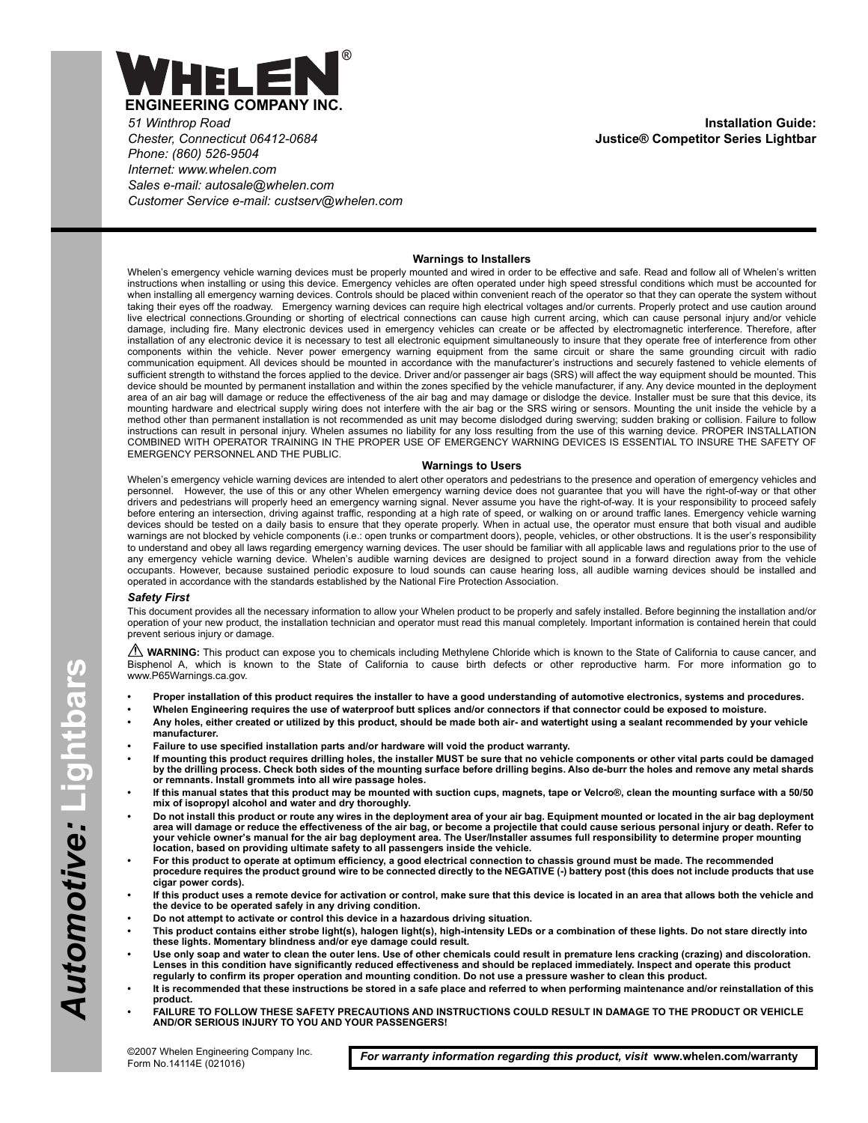

*51 Winthrop Road Chester, Connecticut 06412-0684 Phone: (860) 526-9504 Internet: www.whelen.com Sales e-mail: autosale@whelen.com Customer Service e-mail: custserv@whelen.com*

#### **Warnings to Installers**

Whelen's emergency vehicle warning devices must be properly mounted and wired in order to be effective and safe. Read and follow all of Whelen's written instructions when installing or using this device. Emergency vehicles are often operated under high speed stressful conditions which must be accounted for when installing all emergency warning devices. Controls should be placed within convenient reach of the operator so that they can operate the system without taking their eyes off the roadway. Emergency warning devices can require high electrical voltages and/or currents. Properly protect and use caution around live electrical connections.Grounding or shorting of electrical connections can cause high current arcing, which can cause personal injury and/or vehicle damage, including fire. Many electronic devices used in emergency vehicles can create or be affected by electromagnetic interference. Therefore, after installation of any electronic device it is necessary to test all electronic equipment simultaneously to insure that they operate free of interference from other components within the vehicle. Never power emergency warning equipment from the same circuit or share the same grounding circuit with radio communication equipment. All devices should be mounted in accordance with the manufacturer's instructions and securely fastened to vehicle elements of sufficient strength to withstand the forces applied to the device. Driver and/or passenger air bags (SRS) will affect the way equipment should be mounted. This device should be mounted by permanent installation and within the zones specified by the vehicle manufacturer, if any. Any device mounted in the deployment area of an air bag will damage or reduce the effectiveness of the air bag and may damage or dislodge the device. Installer must be sure that this device, its mounting hardware and electrical supply wiring does not interfere with the air bag or the SRS wiring or sensors. Mounting the unit inside the vehicle by a method other than permanent installation is not recommended as unit may become dislodged during swerving; sudden braking or collision. Failure to follow instructions can result in personal injury. Whelen assumes no liability for any loss resulting from the use of this warning device. PROPER INSTALLATION COMBINED WITH OPERATOR TRAINING IN THE PROPER USE OF EMERGENCY WARNING DEVICES IS ESSENTIAL TO INSURE THE SAFETY OF EMERGENCY PERSONNEL AND THE PUBLIC.

#### **Warnings to Users**

Whelen's emergency vehicle warning devices are intended to alert other operators and pedestrians to the presence and operation of emergency vehicles and personnel. However, the use of this or any other Whelen emergency warning device does not guarantee that you will have the right-of-way or that other drivers and pedestrians will properly heed an emergency warning signal. Never assume you have the right-of-way. It is your responsibility to proceed safely before entering an intersection, driving against traffic, responding at a high rate of speed, or walking on or around traffic lanes. Emergency vehicle warning devices should be tested on a daily basis to ensure that they operate properly. When in actual use, the operator must ensure that both visual and audible warnings are not blocked by vehicle components (i.e.: open trunks or compartment doors), people, vehicles, or other obstructions. It is the user's responsibility to understand and obey all laws regarding emergency warning devices. The user should be familiar with all applicable laws and regulations prior to the use of<br>any emergency vehicle warning device. Whelen's audible warning d occupants. However, because sustained periodic exposure to loud sounds can cause hearing loss, all audible warning devices should be installed and operated in accordance with the standards established by the National Fire Protection Association.

#### *Safety First*

This document provides all the necessary information to allow your Whelen product to be properly and safely installed. Before beginning the installation and/or operation of your new product, the installation technician and operator must read this manual completely. Important information is contained herein that could prevent serious injury or damage.

WARNING: This product can expose you to chemicals including Methylene Chloride which is known to the State of California to cause cancer, and Bisphenol A, which is known to the State of California to cause birth defects or other reproductive harm. For more information go to www.P65Warnings.ca.gov.

- **Proper installation of this product requires the installer to have a good understanding of automotive electronics, systems and procedures.**
- **Whelen Engineering requires the use of waterproof butt splices and/or connectors if that connector could be exposed to moisture.**
	- **Any holes, either created or utilized by this product, should be made both air- and watertight using a sealant recommended by your vehicle manufacturer.**
- **Failure to use specified installation parts and/or hardware will void the product warranty.**
- **If mounting this product requires drilling holes, the installer MUST be sure that no vehicle components or other vital parts could be damaged by the drilling process. Check both sides of the mounting surface before drilling begins. Also de-burr the holes and remove any metal shards or remnants. Install grommets into all wire passage holes.**
- **If this manual states that this product may be mounted with suction cups, magnets, tape or Velcro®, clean the mounting surface with a 50/50 mix of isopropyl alcohol and water and dry thoroughly.**
- **Do not install this product or route any wires in the deployment area of your air bag. Equipment mounted or located in the air bag deployment area will damage or reduce the effectiveness of the air bag, or become a projectile that could cause serious personal injury or death. Refer to your vehicle owner's manual for the air bag deployment area. The User/Installer assumes full responsibility to determine proper mounting location, based on providing ultimate safety to all passengers inside the vehicle.**
- **For this product to operate at optimum efficiency, a good electrical connection to chassis ground must be made. The recommended procedure requires the product ground wire to be connected directly to the NEGATIVE (-) battery post (this does not include products that use cigar power cords).**
- **If this product uses a remote device for activation or control, make sure that this device is located in an area that allows both the vehicle and the device to be operated safely in any driving condition.**
- **Do not attempt to activate or control this device in a hazardous driving situation.**
- **This product contains either strobe light(s), halogen light(s), high-intensity LEDs or a combination of these lights. Do not stare directly into these lights. Momentary blindness and/or eye damage could result.**
- **Use only soap and water to clean the outer lens. Use of other chemicals could result in premature lens cracking (crazing) and discoloration. Lenses in this condition have significantly reduced effectiveness and should be replaced immediately. Inspect and operate this product regularly to confirm its proper operation and mounting condition. Do not use a pressure washer to clean this product.**
- **It is recommended that these instructions be stored in a safe place and referred to when performing maintenance and/or reinstallation of this product.**
- **FAILURE TO FOLLOW THESE SAFETY PRECAUTIONS AND INSTRUCTIONS COULD RESULT IN DAMAGE TO THE PRODUCT OR VEHICLE AND/OR SERIOUS INJURY TO YOU AND YOUR PASSENGERS!**

*For warranty information regarding this product, visit* **www.whelen.com/warranty**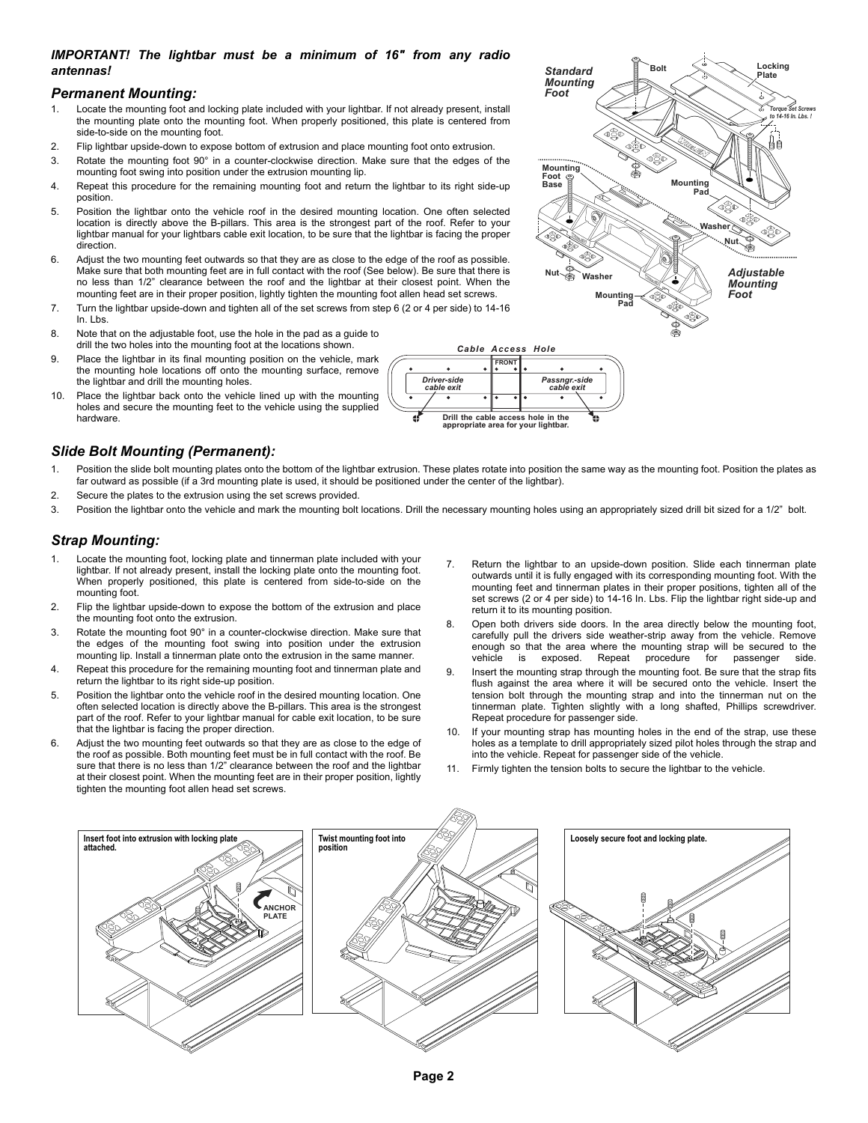## *IMPORTANT! The lightbar must be a minimum of 16" from any radio antennas!*

#### *Permanent Mounting:*

- 1. Locate the mounting foot and locking plate included with your lightbar. If not already present, install the mounting plate onto the mounting foot. When properly positioned, this plate is centered from side-to-side on the mounting foot.
- 2. Flip lightbar upside-down to expose bottom of extrusion and place mounting foot onto extrusion.
- 3. Rotate the mounting foot 90° in a counter-clockwise direction. Make sure that the edges of the mounting foot swing into position under the extrusion mounting lip.
- 4. Repeat this procedure for the remaining mounting foot and return the lightbar to its right side-up position.
- 5. Position the lightbar onto the vehicle roof in the desired mounting location. One often selected location is directly above the B-pillars. This area is the strongest part of the roof. Refer to your lightbar manual for your lightbars cable exit location, to be sure that the lightbar is facing the proper direction.
- 6. Adjust the two mounting feet outwards so that they are as close to the edge of the roof as possible. Make sure that both mounting feet are in full contact with the roof (See below). Be sure that there is no less than 1/2" clearance between the roof and the lightbar at their closest point. When the mounting feet are in their proper position, lightly tighten the mounting foot allen head set screws.
- 7. Turn the lightbar upside-down and tighten all of the set screws from step 6 (2 or 4 per side) to 14-16 In. Lbs.
- 8. Note that on the adjustable foot, use the hole in the pad as a guide to drill the two holes into the mounting foot at the locations shown.
- 9. Place the lightbar in its final mounting position on the vehicle, mark the mounting hole locations off onto the mounting surface, remove the lightbar and drill the mounting holes.
- 10. Place the lightbar back onto the vehicle lined up with the mounting holes and secure the mounting feet to the vehicle using the supplied hardware.

# *Slide Bolt Mounting (Permanent):*

1. Position the slide bolt mounting plates onto the bottom of the lightbar extrusion. These plates rotate into position the same way as the mounting foot. Position the plates as far outward as possible (if a 3rd mounting plate is used, it should be positioned under the center of the lightbar).

d

*Driver-side*

**FRONT**

**Drill the cable access hole in the**<br>appropriate area for your lighthar appropriate area for your light

*cable exit Passngr.-side cable exit*

- 2. Secure the plates to the extrusion using the set screws provided.
- 3. Position the lightbar onto the vehicle and mark the mounting bolt locations. Drill the necessary mounting holes using an appropriately sized drill bit sized for a 1/2" bolt.

## *Strap Mounting:*

- 1. Locate the mounting foot, locking plate and tinnerman plate included with your lightbar. If not already present, install the locking plate onto the mounting foot. When properly positioned, this plate is centered from side-to-side on the mounting foot.
- 2. Flip the lightbar upside-down to expose the bottom of the extrusion and place the mounting foot onto the extrusion.
- 3. Rotate the mounting foot 90° in a counter-clockwise direction. Make sure that the edges of the mounting foot swing into position under the extrusion mounting lip. Install a tinnerman plate onto the extrusion in the same manner.
- 4. Repeat this procedure for the remaining mounting foot and tinnerman plate and return the lightbar to its right side-up position.
- 5. Position the lightbar onto the vehicle roof in the desired mounting location. One often selected location is directly above the B-pillars. This area is the strongest part of the roof. Refer to your lightbar manual for cable exit location, to be sure that the lightbar is facing the proper direction.
- 6. Adjust the two mounting feet outwards so that they are as close to the edge of the roof as possible. Both mounting feet must be in full contact with the roof. Be sure that there is no less than 1/2" clearance between the roof and the lightbar at their closest point. When the mounting feet are in their proper position, lightly tighten the mounting foot allen head set screws.
- Return the lightbar to an upside-down position. Slide each tinnerman plate outwards until it is fully engaged with its corresponding mounting foot. With the mounting feet and tinnerman plates in their proper positions, tighten all of the set screws (2 or 4 per side) to 14-16 In. Lbs. Flip the lightbar right side-up and return it to its mounting position.
- Open both drivers side doors. In the area directly below the mounting foot, carefully pull the drivers side weather-strip away from the vehicle. Remove enough so that the area where the mounting strap will be secured to the vehicle is exposed. Repeat procedure for passenger side. vehicle is exposed. Repeat procedure for passenger
- Insert the mounting strap through the mounting foot. Be sure that the strap fits flush against the area where it will be secured onto the vehicle. Insert the tension bolt through the mounting strap and into the tinnerman nut on the tinnerman plate. Tighten slightly with a long shafted, Phillips screwdriver. Repeat procedure for passenger side.
- 10. If your mounting strap has mounting holes in the end of the strap, use these holes as a template to drill appropriately sized pilot holes through the strap and into the vehicle. Repeat for passenger side of the vehicle.
- 11. Firmly tighten the tension bolts to secure the lightbar to the vehicle.



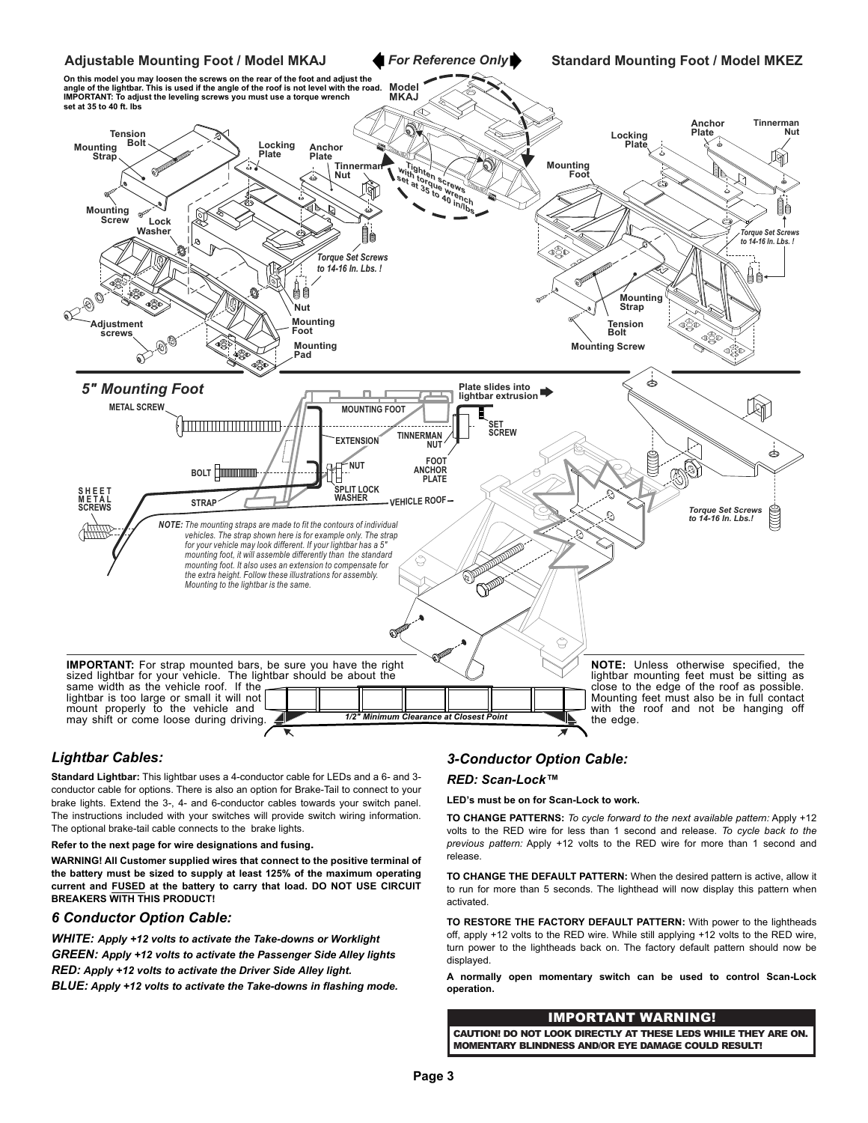

# *Lightbar Cables:*

**Standard Lightbar:** This lightbar uses a 4-conductor cable for LEDs and a 6- and 3 conductor cable for options. There is also an option for Brake-Tail to connect to your brake lights. Extend the 3-, 4- and 6-conductor cables towards your switch panel. The instructions included with your switches will provide switch wiring information. The optional brake-tail cable connects to the brake lights.

**Refer to the next page for wire designations and fusing.**

**WARNING! All Customer supplied wires that connect to the positive terminal of the battery must be sized to supply at least 125% of the maximum operating current and FUSED at the battery to carry that load. DO NOT USE CIRCUIT BREAKERS WITH THIS PRODUCT!**

## *6 Conductor Option Cable:*

*WHITE: Apply +12 volts to activate the Take-downs or Worklight GREEN: Apply +12 volts to activate the Passenger Side Alley lights RED: Apply +12 volts to activate the Driver Side Alley light. BLUE: Apply +12 volts to activate the Take-downs in flashing mode.*

## *3-Conductor Option Cable:*

#### *RED: Scan-Lock™*

**LED's must be on for Scan-Lock to work.**

**TO CHANGE PATTERNS:** *To cycle forward to the next available pattern:* Apply +12 volts to the RED wire for less than 1 second and release. *To cycle back to the previous pattern:* Apply +12 volts to the RED wire for more than 1 second and release.

**TO CHANGE THE DEFAULT PATTERN:** When the desired pattern is active, allow it to run for more than 5 seconds. The lighthead will now display this pattern when activated.

**TO RESTORE THE FACTORY DEFAULT PATTERN:** With power to the lightheads off, apply +12 volts to the RED wire. While still applying +12 volts to the RED wire, turn power to the lightheads back on. The factory default pattern should now be displayed.

**A normally open momentary switch can be used to control Scan-Lock operation.**

MOMENTARY BLINDNESS AND/OR EYE DAMAGE COULD RESULT! MOMENTARY BLINDNESS AND/OR EYE DAMAGE COULD RESULT! **IMPORTANT WARNING!**<br>CAUTION! DO NOT LOOK DIRECTLY AT THESE LEDS WHILE THEY ARE ON.